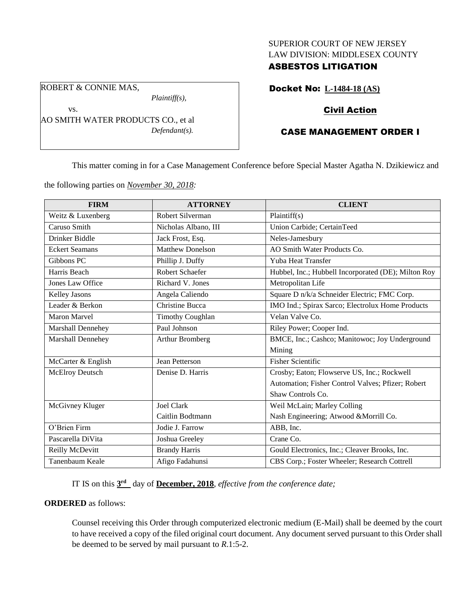#### SUPERIOR COURT OF NEW JERSEY LAW DIVISION: MIDDLESEX COUNTY

## ASBESTOS LITIGATION

ROBERT & CONNIE MAS,

vs.

*Plaintiff(s),*

AO SMITH WATER PRODUCTS CO., et al *Defendant(s).*

# Docket No: **L-1484-18 (AS)**

## Civil Action

# CASE MANAGEMENT ORDER I

This matter coming in for a Case Management Conference before Special Master Agatha N. Dzikiewicz and

the following parties on *November 30, 2018:*

| <b>FIRM</b>           | <b>ATTORNEY</b>         | <b>CLIENT</b>                                       |
|-----------------------|-------------------------|-----------------------------------------------------|
| Weitz & Luxenberg     | <b>Robert Silverman</b> | Plaintiff(s)                                        |
| Caruso Smith          | Nicholas Albano, III    | Union Carbide; CertainTeed                          |
| Drinker Biddle        | Jack Frost, Esq.        | Neles-Jamesbury                                     |
| <b>Eckert Seamans</b> | <b>Matthew Donelson</b> | AO Smith Water Products Co.                         |
| Gibbons PC            | Phillip J. Duffy        | Yuba Heat Transfer                                  |
| Harris Beach          | <b>Robert Schaefer</b>  | Hubbel, Inc.; Hubbell Incorporated (DE); Milton Roy |
| Jones Law Office      | Richard V. Jones        | Metropolitan Life                                   |
| Kelley Jasons         | Angela Caliendo         | Square D n/k/a Schneider Electric; FMC Corp.        |
| Leader & Berkon       | <b>Christine Bucca</b>  | IMO Ind.; Spirax Sarco; Electrolux Home Products    |
| <b>Maron Marvel</b>   | <b>Timothy Coughlan</b> | Velan Valve Co.                                     |
| Marshall Dennehey     | Paul Johnson            | Riley Power; Cooper Ind.                            |
| Marshall Dennehey     | Arthur Bromberg         | BMCE, Inc.; Cashco; Manitowoc; Joy Underground      |
|                       |                         | Mining                                              |
| McCarter & English    | Jean Petterson          | <b>Fisher Scientific</b>                            |
| McElroy Deutsch       | Denise D. Harris        | Crosby; Eaton; Flowserve US, Inc.; Rockwell         |
|                       |                         | Automation; Fisher Control Valves; Pfizer; Robert   |
|                       |                         | Shaw Controls Co.                                   |
| McGivney Kluger       | <b>Joel Clark</b>       | Weil McLain; Marley Colling                         |
|                       | Caitlin Bodtmann        | Nash Engineering; Atwood & Morrill Co.              |
| O'Brien Firm          | Jodie J. Farrow         | ABB, Inc.                                           |
| Pascarella DiVita     | Joshua Greeley          | Crane Co.                                           |
| Reilly McDevitt       | <b>Brandy Harris</b>    | Gould Electronics, Inc.; Cleaver Brooks, Inc.       |
| Tanenbaum Keale       | Afigo Fadahunsi         | CBS Corp.; Foster Wheeler; Research Cottrell        |

IT IS on this **3 rd** day of **December, 2018**, *effective from the conference date;*

### **ORDERED** as follows:

Counsel receiving this Order through computerized electronic medium (E-Mail) shall be deemed by the court to have received a copy of the filed original court document. Any document served pursuant to this Order shall be deemed to be served by mail pursuant to *R*.1:5-2.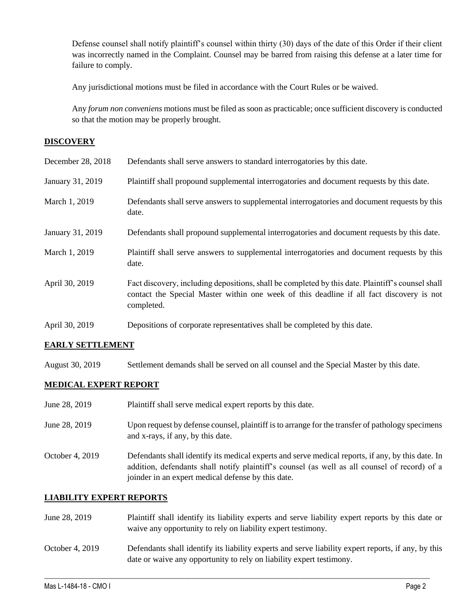Defense counsel shall notify plaintiff's counsel within thirty (30) days of the date of this Order if their client was incorrectly named in the Complaint. Counsel may be barred from raising this defense at a later time for failure to comply.

Any jurisdictional motions must be filed in accordance with the Court Rules or be waived.

Any *forum non conveniens* motions must be filed as soon as practicable; once sufficient discovery is conducted so that the motion may be properly brought.

### **DISCOVERY**

| December 28, 2018 | Defendants shall serve answers to standard interrogatories by this date.                                                                                                                                    |
|-------------------|-------------------------------------------------------------------------------------------------------------------------------------------------------------------------------------------------------------|
| January 31, 2019  | Plaintiff shall propound supplemental interrogatories and document requests by this date.                                                                                                                   |
| March 1, 2019     | Defendants shall serve answers to supplemental interrogatories and document requests by this<br>date.                                                                                                       |
| January 31, 2019  | Defendants shall propound supplemental interrogatories and document requests by this date.                                                                                                                  |
| March 1, 2019     | Plaintiff shall serve answers to supplemental interrogatories and document requests by this<br>date.                                                                                                        |
| April 30, 2019    | Fact discovery, including depositions, shall be completed by this date. Plaintiff's counsel shall<br>contact the Special Master within one week of this deadline if all fact discovery is not<br>completed. |
| April 30, 2019    | Depositions of corporate representatives shall be completed by this date.                                                                                                                                   |

### **EARLY SETTLEMENT**

August 30, 2019 Settlement demands shall be served on all counsel and the Special Master by this date.

### **MEDICAL EXPERT REPORT**

| June 28, 2019   | Plaintiff shall serve medical expert reports by this date.                                                                                                                                                                                               |
|-----------------|----------------------------------------------------------------------------------------------------------------------------------------------------------------------------------------------------------------------------------------------------------|
| June 28, 2019   | Upon request by defense counsel, plaintiff is to arrange for the transfer of pathology specimens<br>and x-rays, if any, by this date.                                                                                                                    |
| October 4, 2019 | Defendants shall identify its medical experts and serve medical reports, if any, by this date. In<br>addition, defendants shall notify plaintiff's counsel (as well as all counsel of record) of a<br>joinder in an expert medical defense by this date. |

### **LIABILITY EXPERT REPORTS**

- June 28, 2019 Plaintiff shall identify its liability experts and serve liability expert reports by this date or waive any opportunity to rely on liability expert testimony.
- October 4, 2019 Defendants shall identify its liability experts and serve liability expert reports, if any, by this date or waive any opportunity to rely on liability expert testimony.

 $\_$  ,  $\_$  ,  $\_$  ,  $\_$  ,  $\_$  ,  $\_$  ,  $\_$  ,  $\_$  ,  $\_$  ,  $\_$  ,  $\_$  ,  $\_$  ,  $\_$  ,  $\_$  ,  $\_$  ,  $\_$  ,  $\_$  ,  $\_$  ,  $\_$  ,  $\_$  ,  $\_$  ,  $\_$  ,  $\_$  ,  $\_$  ,  $\_$  ,  $\_$  ,  $\_$  ,  $\_$  ,  $\_$  ,  $\_$  ,  $\_$  ,  $\_$  ,  $\_$  ,  $\_$  ,  $\_$  ,  $\_$  ,  $\_$  ,